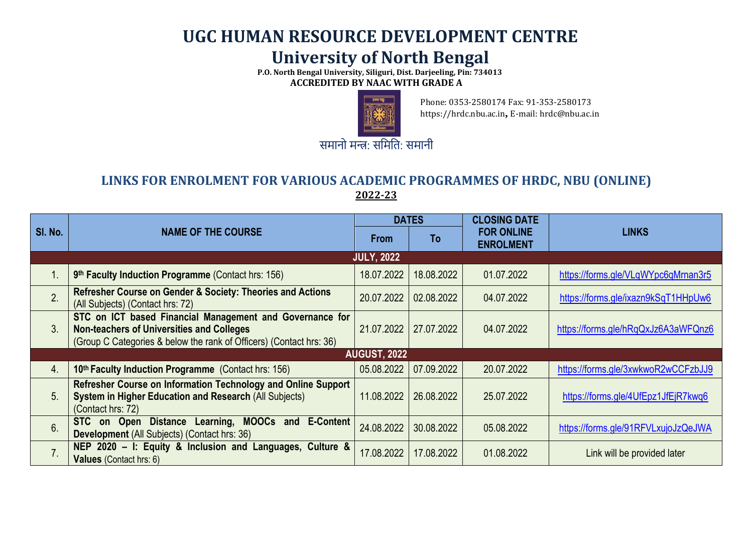## **UGC HUMAN RESOURCE DEVELOPMENT CENTRE University of North Bengal**

 **P.O. North Bengal University, Siliguri, Dist. Darjeeling, Pin: 734013 ACCREDITED BY NAAC WITH GRADE A**



Phone: 0353-2580174 Fax: 91-353-2580173 https://hrdc.nbu.ac.in**,** E-mail: hrdc@nbu.ac.in

**LINKS FOR ENROLMENT FOR VARIOUS ACADEMIC PROGRAMMES OF HRDC, NBU (ONLINE) 2022-23**

|                   | <b>NAME OF THE COURSE</b>                                                                                                                                                           | <b>DATES</b>        |            | <b>CLOSING DATE</b>                   |                                     |  |  |  |  |
|-------------------|-------------------------------------------------------------------------------------------------------------------------------------------------------------------------------------|---------------------|------------|---------------------------------------|-------------------------------------|--|--|--|--|
| SI. No.           |                                                                                                                                                                                     | <b>From</b>         | To         | <b>FOR ONLINE</b><br><b>ENROLMENT</b> | <b>LINKS</b>                        |  |  |  |  |
| <b>JULY, 2022</b> |                                                                                                                                                                                     |                     |            |                                       |                                     |  |  |  |  |
| $\mathbf 1$ .     | 9th Faculty Induction Programme (Contact hrs: 156)                                                                                                                                  | 18.07.2022          | 18.08.2022 | 01.07.2022                            | https://forms.gle/VLqWYpc6qMrnan3r5 |  |  |  |  |
| $\overline{2}$    | Refresher Course on Gender & Society: Theories and Actions<br>(All Subjects) (Contact hrs: 72)                                                                                      | 20.07.2022          | 02.08.2022 | 04.07.2022                            | https://forms.gle/ixazn9kSqT1HHpUw6 |  |  |  |  |
| 3.                | STC on ICT based Financial Management and Governance for<br><b>Non-teachers of Universities and Colleges</b><br>(Group C Categories & below the rank of Officers) (Contact hrs: 36) | 21.07.2022          | 27.07.2022 | 04.07.2022                            | https://forms.gle/hRqQxJz6A3aWFQnz6 |  |  |  |  |
|                   |                                                                                                                                                                                     | <b>AUGUST, 2022</b> |            |                                       |                                     |  |  |  |  |
| $\overline{4}$ .  | 10th Faculty Induction Programme (Contact hrs: 156)                                                                                                                                 | 05.08.2022          | 07.09.2022 | 20.07.2022                            | https://forms.gle/3xwkwoR2wCCFzbJJ9 |  |  |  |  |
| 5.                | Refresher Course on Information Technology and Online Support<br><b>System in Higher Education and Research (All Subjects)</b><br>(Contact hrs: 72)                                 | 11.08.2022          | 26.08.2022 | 25.07.2022                            | https://forms.gle/4UfEpz1JfEjR7kwq6 |  |  |  |  |
| 6.                | <b>MOOCs and E-Content</b><br><b>Distance</b><br>Learning,<br>on Open<br><b>STC</b><br>Development (All Subjects) (Contact hrs: 36)                                                 | 24.08.2022          | 30.08.2022 | 05.08.2022                            | https://forms.gle/91RFVLxujoJzQeJWA |  |  |  |  |
| 7.                | NEP 2020 - I: Equity & Inclusion and Languages, Culture &<br><b>Values</b> (Contact hrs: 6)                                                                                         | 17.08.2022          | 17.08.2022 | 01.08.2022                            | Link will be provided later         |  |  |  |  |